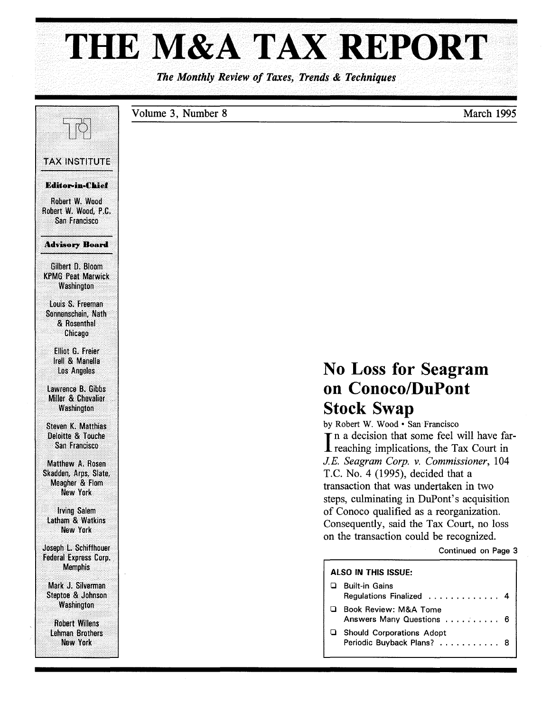# **THE M&A** TAX REPORT

*The Monthly Review of Taxes, Trends* & *Techniques* 

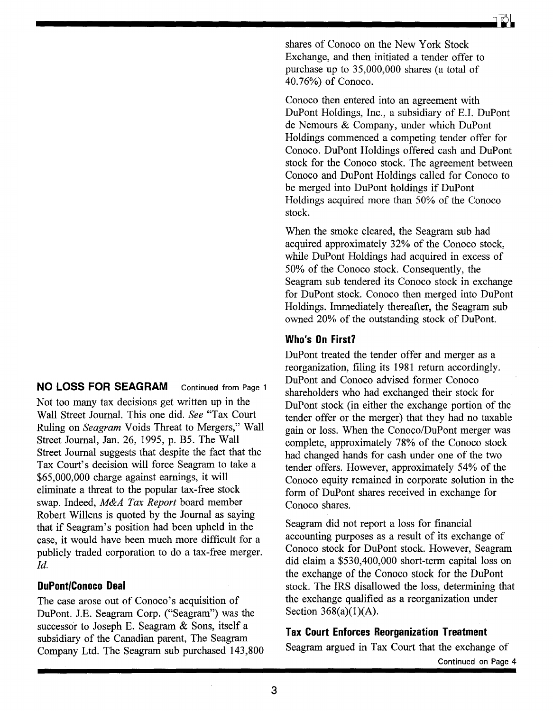## **NO LOSS FOR SEAGRAM** Continued from Page 1

Not too many tax decisions get written up in the Wall Street Journal. This one did. *See* "Tax Court Ruling on *Seagram* Voids Threat to Mergers," Wall Street Journal, Jan. 26, 1995, p. B5. The Wall Street Journal suggests that despite the fact that the Tax Court's decision will force Seagram to take a \$65,000,000 charge against earnings, it will eliminate a threat to the popular tax-free stock swap. Indeed, *M&A Tax Report* board member Robert Willens is quoted by the Journal as saying that if Seagram's position had been upheld in the case, it would have been much more difficult for a publicly traded corporation to do a tax-free merger. *Id.* 

### **DuPont/Conoco Deal**

The case arose out of Conoco's acquisition of DuPont. J.E. Seagram Corp. ("Seagram") was the successor to Joseph E. Seagram & Sons, itself a subsidiary of the Canadian parent, The Seagram Company Ltd. The Seagram sub purchased 143,800

shares of Conoco on the New York Stock Exchange, and then initiated a tender offer to purchase up to 35,000,000 shares (a total of 40.76%) of Conoco.

Conoco then entered into an agreement with DuPont Holdings, Inc., a subsidiary of E.!. DuPont de Nemours & Company, under which DuPont Holdings commenced a competing tender offer for Conoco. DuPont Holdings offered cash and DuPont stock for the Conoco stock. The agreement between Conoco and DuPont Holdings called for Conoco to be merged into DuPont holdings if DuPont Holdings acquired more than 50% of the Conoco stock.

When the smoke cleared, the Seagram sub had acquired approximately 32% of the Conoco stock, while DuPont Holdings had acquired in excess of 50% of the Conoco stock. Consequently, the Seagram sub tendered its Conoco stock in exchange for DuPont stock. Conoco then merged into DuPont Holdings. Immediately thereafter, the Seagram sub owned 20% of the outstanding stock of DuPont.

#### **Who's On First?**

DuPont treated the tender offer and merger as a reorganization, filing its 1981 return accordingly. DuPont and Conoco advised former Conoco shareholders who had exchanged their stock for DuPont stock (in either the exchange portion of the tender offer or the merger) that they had no taxable gain or loss. When the *Conoco/DuPont* merger was complete, approximately 78% of the Conoco stock had changed hands for cash under one of the two tender offers. However, approximately 54% of the Conoco equity remained in corporate solution in the form of DuPont shares received in exchange for Conoco shares.

Seagram did not report a loss for financial accounting purposes as a result of its exchange of Conoco stock for DuPont stock. However, Seagram did claim a \$530,400,000 short-term capital loss on the exchange of the Conoco stock for the DuPont stock. The IRS disallowed the loss, determining that the exchange qualified as a reorganization under Section 368(a)(1)(A).

#### **Tax Court Enforces Reorganization Treatment**

Seagram argued in Tax Court that the exchange of Continued on Page 4